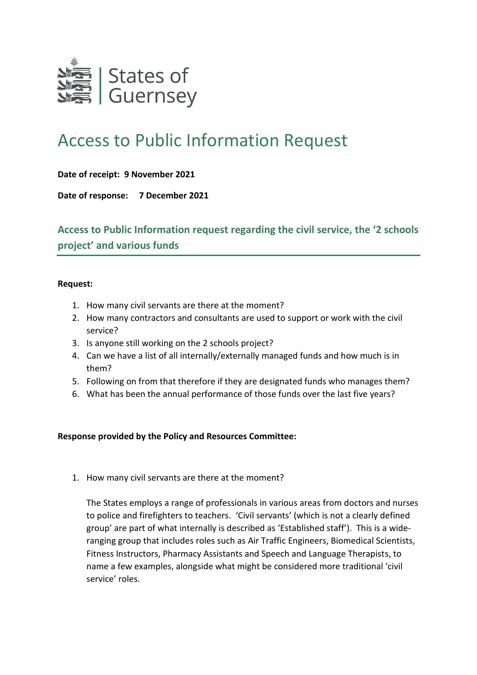

## Access to Public Information Request

**Date of receipt: 9 November 2021**

**Date of response: 7 December 2021**

**Access to Public Information request regarding the civil service, the '2 schools project' and various funds**

## **Request:**

- 1. How many civil servants are there at the moment?
- 2. How many contractors and consultants are used to support or work with the civil service?
- 3. Is anyone still working on the 2 schools project?
- 4. Can we have a list of all internally/externally managed funds and how much is in them?
- 5. Following on from that therefore if they are designated funds who manages them?
- 6. What has been the annual performance of those funds over the last five years?

## **Response provided by the Policy and Resources Committee:**

1. How many civil servants are there at the moment?

The States employs a range of professionals in various areas from doctors and nurses to police and firefighters to teachers. 'Civil servants' (which is not a clearly defined group' are part of what internally is described as 'Established staff'). This is a wideranging group that includes roles such as Air Traffic Engineers, Biomedical Scientists, Fitness Instructors, Pharmacy Assistants and Speech and Language Therapists, to name a few examples, alongside what might be considered more traditional 'civil service' roles.